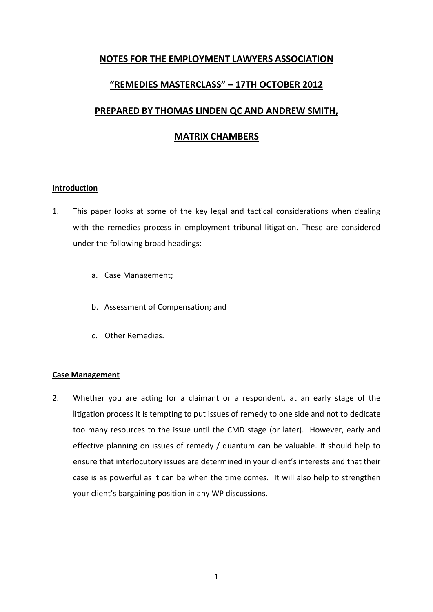# **NOTES FOR THE EMPLOYMENT LAWYERS ASSOCIATION**

# **"REMEDIES MASTERCLASS" – 17TH OCTOBER 2012**

# **PREPARED BY THOMAS LINDEN QC AND ANDREW SMITH,**

# **MATRIX CHAMBERS**

## **Introduction**

- 1. This paper looks at some of the key legal and tactical considerations when dealing with the remedies process in employment tribunal litigation. These are considered under the following broad headings:
	- a. Case Management;
	- b. Assessment of Compensation; and
	- c. Other Remedies.

## **Case Management**

2. Whether you are acting for a claimant or a respondent, at an early stage of the litigation process it is tempting to put issues of remedy to one side and not to dedicate too many resources to the issue until the CMD stage (or later). However, early and effective planning on issues of remedy / quantum can be valuable. It should help to ensure that interlocutory issues are determined in your client's interests and that their case is as powerful as it can be when the time comes. It will also help to strengthen your client's bargaining position in any WP discussions.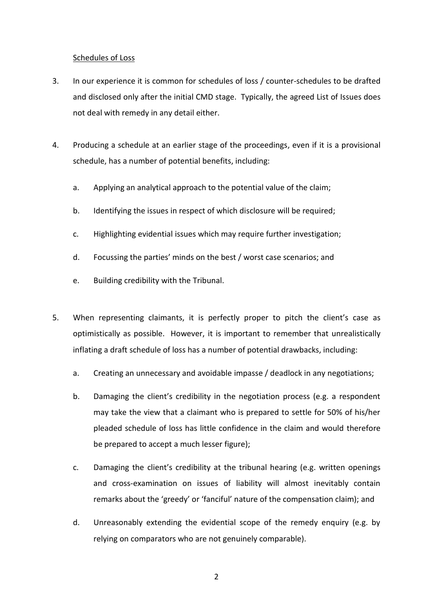### Schedules of Loss

- 3. In our experience it is common for schedules of loss / counter-schedules to be drafted and disclosed only after the initial CMD stage. Typically, the agreed List of Issues does not deal with remedy in any detail either.
- 4. Producing a schedule at an earlier stage of the proceedings, even if it is a provisional schedule, has a number of potential benefits, including:
	- a. Applying an analytical approach to the potential value of the claim;
	- b. Identifying the issues in respect of which disclosure will be required;
	- c. Highlighting evidential issues which may require further investigation;
	- d. Focussing the parties' minds on the best / worst case scenarios; and
	- e. Building credibility with the Tribunal.
- 5. When representing claimants, it is perfectly proper to pitch the client's case as optimistically as possible. However, it is important to remember that unrealistically inflating a draft schedule of loss has a number of potential drawbacks, including:
	- a. Creating an unnecessary and avoidable impasse / deadlock in any negotiations;
	- b. Damaging the client's credibility in the negotiation process (e.g. a respondent may take the view that a claimant who is prepared to settle for 50% of his/her pleaded schedule of loss has little confidence in the claim and would therefore be prepared to accept a much lesser figure);
	- c. Damaging the client's credibility at the tribunal hearing (e.g. written openings and cross-examination on issues of liability will almost inevitably contain remarks about the 'greedy' or 'fanciful' nature of the compensation claim); and
	- d. Unreasonably extending the evidential scope of the remedy enquiry (e.g. by relying on comparators who are not genuinely comparable).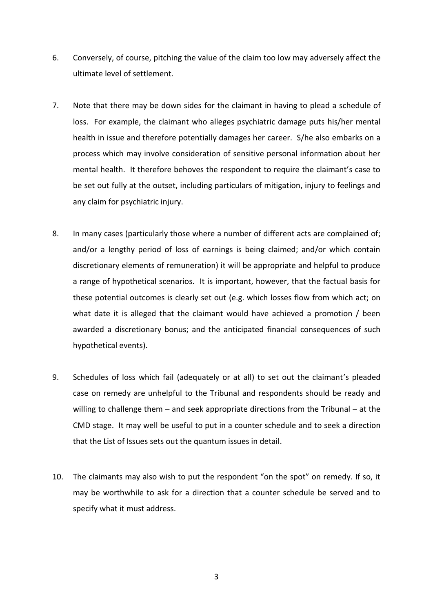- 6. Conversely, of course, pitching the value of the claim too low may adversely affect the ultimate level of settlement.
- 7. Note that there may be down sides for the claimant in having to plead a schedule of loss. For example, the claimant who alleges psychiatric damage puts his/her mental health in issue and therefore potentially damages her career. S/he also embarks on a process which may involve consideration of sensitive personal information about her mental health. It therefore behoves the respondent to require the claimant's case to be set out fully at the outset, including particulars of mitigation, injury to feelings and any claim for psychiatric injury.
- 8. In many cases (particularly those where a number of different acts are complained of; and/or a lengthy period of loss of earnings is being claimed; and/or which contain discretionary elements of remuneration) it will be appropriate and helpful to produce a range of hypothetical scenarios. It is important, however, that the factual basis for these potential outcomes is clearly set out (e.g. which losses flow from which act; on what date it is alleged that the claimant would have achieved a promotion / been awarded a discretionary bonus; and the anticipated financial consequences of such hypothetical events).
- 9. Schedules of loss which fail (adequately or at all) to set out the claimant's pleaded case on remedy are unhelpful to the Tribunal and respondents should be ready and willing to challenge them – and seek appropriate directions from the Tribunal – at the CMD stage. It may well be useful to put in a counter schedule and to seek a direction that the List of Issues sets out the quantum issues in detail.
- 10. The claimants may also wish to put the respondent "on the spot" on remedy. If so, it may be worthwhile to ask for a direction that a counter schedule be served and to specify what it must address.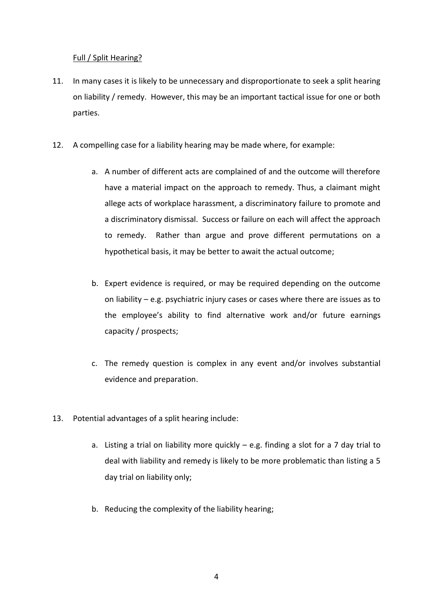# Full / Split Hearing?

- 11. In many cases it is likely to be unnecessary and disproportionate to seek a split hearing on liability / remedy. However, this may be an important tactical issue for one or both parties.
- 12. A compelling case for a liability hearing may be made where, for example:
	- a. A number of different acts are complained of and the outcome will therefore have a material impact on the approach to remedy. Thus, a claimant might allege acts of workplace harassment, a discriminatory failure to promote and a discriminatory dismissal. Success or failure on each will affect the approach to remedy. Rather than argue and prove different permutations on a hypothetical basis, it may be better to await the actual outcome;
	- b. Expert evidence is required, or may be required depending on the outcome on liability – e.g. psychiatric injury cases or cases where there are issues as to the employee's ability to find alternative work and/or future earnings capacity / prospects;
	- c. The remedy question is complex in any event and/or involves substantial evidence and preparation.
- 13. Potential advantages of a split hearing include:
	- a. Listing a trial on liability more quickly e.g. finding a slot for a 7 day trial to deal with liability and remedy is likely to be more problematic than listing a 5 day trial on liability only;
	- b. Reducing the complexity of the liability hearing;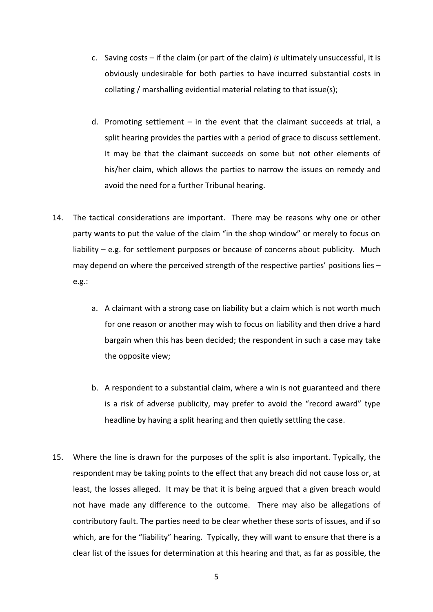- c. Saving costs if the claim (or part of the claim) *is* ultimately unsuccessful, it is obviously undesirable for both parties to have incurred substantial costs in collating / marshalling evidential material relating to that issue(s);
- d. Promoting settlement in the event that the claimant succeeds at trial, a split hearing provides the parties with a period of grace to discuss settlement. It may be that the claimant succeeds on some but not other elements of his/her claim, which allows the parties to narrow the issues on remedy and avoid the need for a further Tribunal hearing.
- 14. The tactical considerations are important. There may be reasons why one or other party wants to put the value of the claim "in the shop window" or merely to focus on liability – e.g. for settlement purposes or because of concerns about publicity. Much may depend on where the perceived strength of the respective parties' positions lies – e.g.:
	- a. A claimant with a strong case on liability but a claim which is not worth much for one reason or another may wish to focus on liability and then drive a hard bargain when this has been decided; the respondent in such a case may take the opposite view;
	- b. A respondent to a substantial claim, where a win is not guaranteed and there is a risk of adverse publicity, may prefer to avoid the "record award" type headline by having a split hearing and then quietly settling the case.
- 15. Where the line is drawn for the purposes of the split is also important. Typically, the respondent may be taking points to the effect that any breach did not cause loss or, at least, the losses alleged. It may be that it is being argued that a given breach would not have made any difference to the outcome. There may also be allegations of contributory fault. The parties need to be clear whether these sorts of issues, and if so which, are for the "liability" hearing. Typically, they will want to ensure that there is a clear list of the issues for determination at this hearing and that, as far as possible, the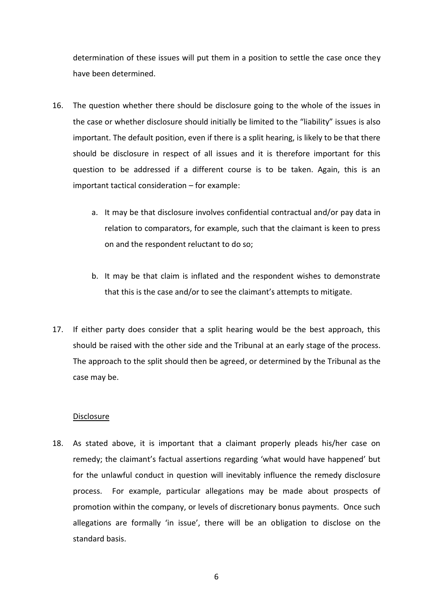determination of these issues will put them in a position to settle the case once they have been determined.

- 16. The question whether there should be disclosure going to the whole of the issues in the case or whether disclosure should initially be limited to the "liability" issues is also important. The default position, even if there is a split hearing, is likely to be that there should be disclosure in respect of all issues and it is therefore important for this question to be addressed if a different course is to be taken. Again, this is an important tactical consideration – for example:
	- a. It may be that disclosure involves confidential contractual and/or pay data in relation to comparators, for example, such that the claimant is keen to press on and the respondent reluctant to do so;
	- b. It may be that claim is inflated and the respondent wishes to demonstrate that this is the case and/or to see the claimant's attempts to mitigate.
- 17. If either party does consider that a split hearing would be the best approach, this should be raised with the other side and the Tribunal at an early stage of the process. The approach to the split should then be agreed, or determined by the Tribunal as the case may be.

## **Disclosure**

18. As stated above, it is important that a claimant properly pleads his/her case on remedy; the claimant's factual assertions regarding 'what would have happened' but for the unlawful conduct in question will inevitably influence the remedy disclosure process. For example, particular allegations may be made about prospects of promotion within the company, or levels of discretionary bonus payments. Once such allegations are formally 'in issue', there will be an obligation to disclose on the standard basis.

6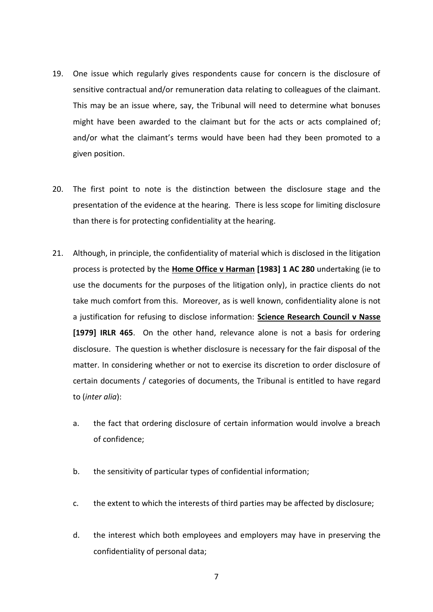- 19. One issue which regularly gives respondents cause for concern is the disclosure of sensitive contractual and/or remuneration data relating to colleagues of the claimant. This may be an issue where, say, the Tribunal will need to determine what bonuses might have been awarded to the claimant but for the acts or acts complained of; and/or what the claimant's terms would have been had they been promoted to a given position.
- 20. The first point to note is the distinction between the disclosure stage and the presentation of the evidence at the hearing. There is less scope for limiting disclosure than there is for protecting confidentiality at the hearing.
- 21. Although, in principle, the confidentiality of material which is disclosed in the litigation process is protected by the **Home Office v Harman [1983] 1 AC 280** undertaking (ie to use the documents for the purposes of the litigation only), in practice clients do not take much comfort from this. Moreover, as is well known, confidentiality alone is not a justification for refusing to disclose information: **Science Research Council v Nasse [1979] IRLR 465**. On the other hand, relevance alone is not a basis for ordering disclosure. The question is whether disclosure is necessary for the fair disposal of the matter. In considering whether or not to exercise its discretion to order disclosure of certain documents / categories of documents, the Tribunal is entitled to have regard to (*inter alia*):
	- a. the fact that ordering disclosure of certain information would involve a breach of confidence;
	- b. the sensitivity of particular types of confidential information;
	- c. the extent to which the interests of third parties may be affected by disclosure;
	- d. the interest which both employees and employers may have in preserving the confidentiality of personal data;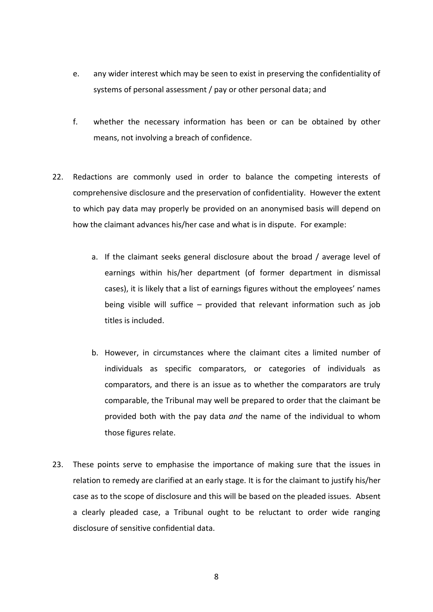- e. any wider interest which may be seen to exist in preserving the confidentiality of systems of personal assessment / pay or other personal data; and
- f. whether the necessary information has been or can be obtained by other means, not involving a breach of confidence.
- 22. Redactions are commonly used in order to balance the competing interests of comprehensive disclosure and the preservation of confidentiality. However the extent to which pay data may properly be provided on an anonymised basis will depend on how the claimant advances his/her case and what is in dispute. For example:
	- a. If the claimant seeks general disclosure about the broad / average level of earnings within his/her department (of former department in dismissal cases), it is likely that a list of earnings figures without the employees' names being visible will suffice – provided that relevant information such as job titles is included.
	- b. However, in circumstances where the claimant cites a limited number of individuals as specific comparators, or categories of individuals as comparators, and there is an issue as to whether the comparators are truly comparable, the Tribunal may well be prepared to order that the claimant be provided both with the pay data *and* the name of the individual to whom those figures relate.
- 23. These points serve to emphasise the importance of making sure that the issues in relation to remedy are clarified at an early stage. It is for the claimant to justify his/her case as to the scope of disclosure and this will be based on the pleaded issues. Absent a clearly pleaded case, a Tribunal ought to be reluctant to order wide ranging disclosure of sensitive confidential data.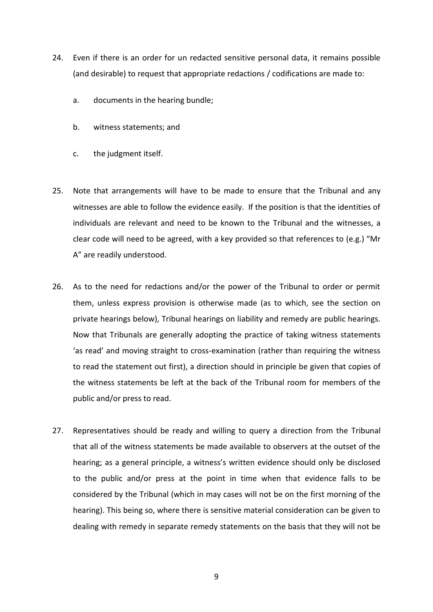- 24. Even if there is an order for un redacted sensitive personal data, it remains possible (and desirable) to request that appropriate redactions / codifications are made to:
	- a. documents in the hearing bundle;
	- b. witness statements; and
	- c. the judgment itself.
- 25. Note that arrangements will have to be made to ensure that the Tribunal and any witnesses are able to follow the evidence easily. If the position is that the identities of individuals are relevant and need to be known to the Tribunal and the witnesses, a clear code will need to be agreed, with a key provided so that references to (e.g.) "Mr A" are readily understood.
- 26. As to the need for redactions and/or the power of the Tribunal to order or permit them, unless express provision is otherwise made (as to which, see the section on private hearings below), Tribunal hearings on liability and remedy are public hearings. Now that Tribunals are generally adopting the practice of taking witness statements 'as read' and moving straight to cross-examination (rather than requiring the witness to read the statement out first), a direction should in principle be given that copies of the witness statements be left at the back of the Tribunal room for members of the public and/or press to read.
- 27. Representatives should be ready and willing to query a direction from the Tribunal that all of the witness statements be made available to observers at the outset of the hearing; as a general principle, a witness's written evidence should only be disclosed to the public and/or press at the point in time when that evidence falls to be considered by the Tribunal (which in may cases will not be on the first morning of the hearing). This being so, where there is sensitive material consideration can be given to dealing with remedy in separate remedy statements on the basis that they will not be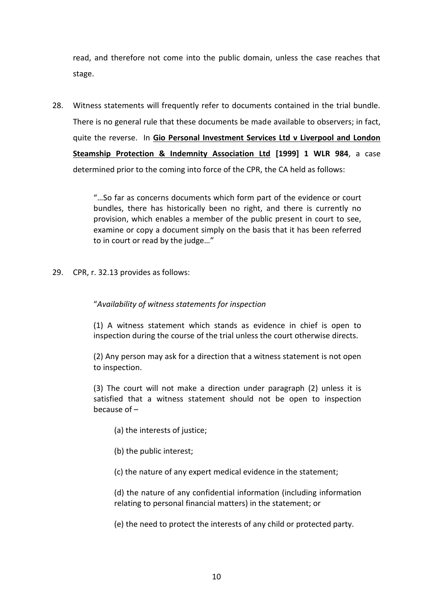read, and therefore not come into the public domain, unless the case reaches that stage.

28. Witness statements will frequently refer to documents contained in the trial bundle. There is no general rule that these documents be made available to observers; in fact, quite the reverse. In **Gio Personal Investment Services Ltd v Liverpool and London Steamship Protection & Indemnity Association Ltd [1999] 1 WLR 984**, a case determined prior to the coming into force of the CPR, the CA held as follows:

> "…So far as concerns documents which form part of the evidence or court bundles, there has historically been no right, and there is currently no provision, which enables a member of the public present in court to see, examine or copy a document simply on the basis that it has been referred to in court or read by the judge…"

29. CPR, r. 32.13 provides as follows:

# "*Availability of witness statements for inspection*

(1) A witness statement which stands as evidence in chief is open to inspection during the course of the trial unless the court otherwise directs.

(2) Any person may ask for a direction that a witness statement is not open to inspection.

(3) The court will not make a direction under paragraph (2) unless it is satisfied that a witness statement should not be open to inspection because of –

- (a) the interests of justice;
- (b) the public interest;
- (c) the nature of any expert medical evidence in the statement;

(d) the nature of any confidential information (including information relating to personal financial matters) in the statement; or

(e) the need to protect the interests of any child or protected party.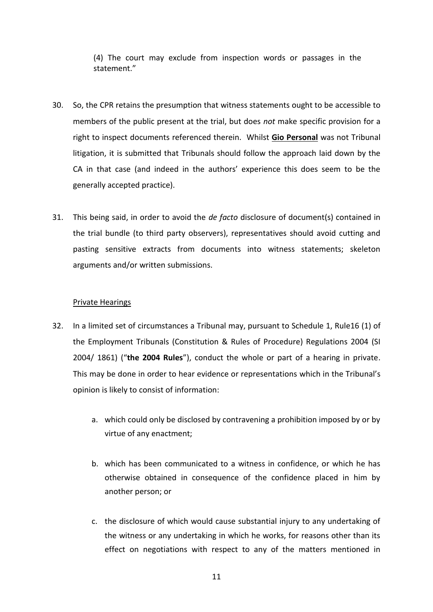(4) The court may exclude from inspection words or passages in the statement."

- 30. So, the CPR retains the presumption that witness statements ought to be accessible to members of the public present at the trial, but does *not* make specific provision for a right to inspect documents referenced therein. Whilst **Gio Personal** was not Tribunal litigation, it is submitted that Tribunals should follow the approach laid down by the CA in that case (and indeed in the authors' experience this does seem to be the generally accepted practice).
- 31. This being said, in order to avoid the *de facto* disclosure of document(s) contained in the trial bundle (to third party observers), representatives should avoid cutting and pasting sensitive extracts from documents into witness statements; skeleton arguments and/or written submissions.

# Private Hearings

- 32. In a limited set of circumstances a Tribunal may, pursuant to Schedule 1, Rule16 (1) of the Employment Tribunals (Constitution & Rules of Procedure) Regulations 2004 (SI 2004/ 1861) ("**the 2004 Rules**"), conduct the whole or part of a hearing in private. This may be done in order to hear evidence or representations which in the Tribunal's opinion is likely to consist of information:
	- a. which could only be disclosed by contravening a prohibition imposed by or by virtue of any enactment;
	- b. which has been communicated to a witness in confidence, or which he has otherwise obtained in consequence of the confidence placed in him by another person; or
	- c. the disclosure of which would cause substantial injury to any undertaking of the witness or any undertaking in which he works, for reasons other than its effect on negotiations with respect to any of the matters mentioned in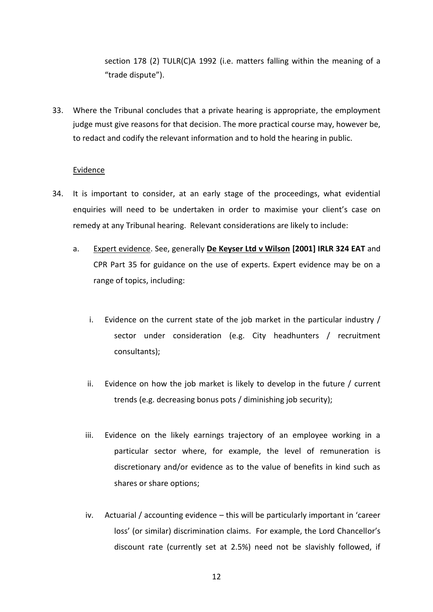section 178 (2) [TULR\(C\)A 1992](https://www.lexisnexis.com/uk/legal/search/enhRunRemoteLink.do?ersKey=23_T15779437618&langcountry=GB&backKey=20_T15779437619&linkInfo=F%23GB%23UK_ACTS%23section%25178%25sect%25178%25num%251992_52a%25&service=citation&A=0.8658939166030821) (i.e. matters falling within the meaning of a "trade dispute").

33. Where the Tribunal concludes that a private hearing is appropriate, the employment judge must give reasons for that decision. The more practical course may, however be, to redact and codify the relevant information and to hold the hearing in public.

#### Evidence

- 34. It is important to consider, at an early stage of the proceedings, what evidential enquiries will need to be undertaken in order to maximise your client's case on remedy at any Tribunal hearing. Relevant considerations are likely to include:
	- a. Expert evidence. See, generally **De Keyser Ltd v Wilson [2001] IRLR 324 EAT** and CPR Part 35 for guidance on the use of experts. Expert evidence may be on a range of topics, including:
		- i. Evidence on the current state of the job market in the particular industry / sector under consideration (e.g. City headhunters / recruitment consultants);
		- ii. Evidence on how the job market is likely to develop in the future / current trends (e.g. decreasing bonus pots / diminishing job security);
		- iii. Evidence on the likely earnings trajectory of an employee working in a particular sector where, for example, the level of remuneration is discretionary and/or evidence as to the value of benefits in kind such as shares or share options;
		- iv. Actuarial / accounting evidence this will be particularly important in 'career loss' (or similar) discrimination claims. For example, the Lord Chancellor's discount rate (currently set at 2.5%) need not be slavishly followed, if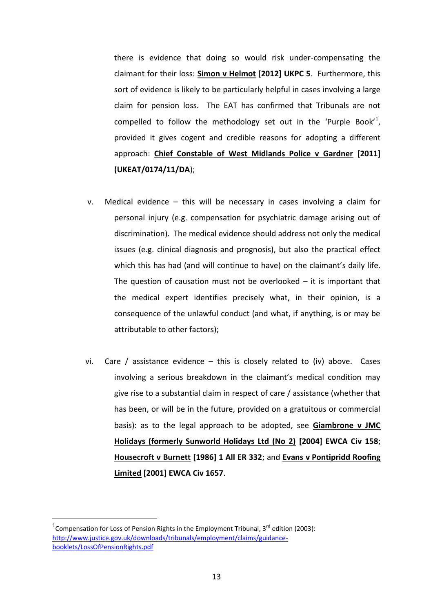there is evidence that doing so would risk under-compensating the claimant for their loss: **Simon v Helmot** [**2012] UKPC 5**. Furthermore, this sort of evidence is likely to be particularly helpful in cases involving a large claim for pension loss. The EAT has confirmed that Tribunals are not compelled to follow the methodology set out in the 'Purple Book'<sup>1</sup>, provided it gives cogent and credible reasons for adopting a different approach: **Chief Constable of West Midlands Police v Gardner [2011] (UKEAT/0174/11/DA**);

- v. Medical evidence this will be necessary in cases involving a claim for personal injury (e.g. compensation for psychiatric damage arising out of discrimination). The medical evidence should address not only the medical issues (e.g. clinical diagnosis and prognosis), but also the practical effect which this has had (and will continue to have) on the claimant's daily life. The question of causation must not be overlooked  $-$  it is important that the medical expert identifies precisely what, in their opinion, is a consequence of the unlawful conduct (and what, if anything, is or may be attributable to other factors);
- vi. Care / assistance evidence  $-$  this is closely related to (iv) above. Cases involving a serious breakdown in the claimant's medical condition may give rise to a substantial claim in respect of care / assistance (whether that has been, or will be in the future, provided on a gratuitous or commercial basis): as to the legal approach to be adopted, see **Giambrone v JMC Holidays (formerly Sunworld Holidays Ltd (No 2) [2004] EWCA Civ 158**; **Housecroft v Burnett [1986] 1 All ER 332**; and **Evans v Pontipridd Roofing Limited [2001] EWCA Civ 1657**.

1

<sup>&</sup>lt;sup>1</sup> Compensation for Loss of Pension Rights in the Employment Tribunal, 3<sup>rd</sup> edition (2003): [http://www.justice.gov.uk/downloads/tribunals/employment/claims/guidance](http://www.justice.gov.uk/downloads/tribunals/employment/claims/guidance-booklets/LossOfPensionRights.pdf)[booklets/LossOfPensionRights.pdf](http://www.justice.gov.uk/downloads/tribunals/employment/claims/guidance-booklets/LossOfPensionRights.pdf)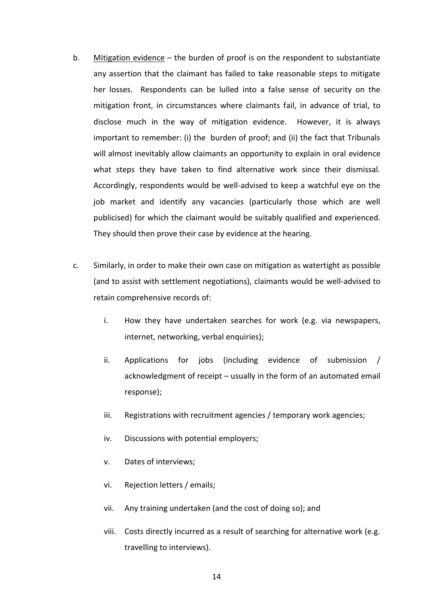- b. Mitigation evidence the burden of proof is on the respondent to substantiate any assertion that the claimant has failed to take reasonable steps to mitigate her losses. Respondents can be lulled into a false sense of security on the mitigation front, in circumstances where claimants fail, in advance of trial, to disclose much in the way of mitigation evidence. However, it is always important to remember: (i) the burden of proof; and (ii) the fact that Tribunals will almost inevitably allow claimants an opportunity to explain in oral evidence what steps they have taken to find alternative work since their dismissal. Accordingly, respondents would be well-advised to keep a watchful eye on the job market and identify any vacancies (particularly those which are well publicised) for which the claimant would be suitably qualified and experienced. They should then prove their case by evidence at the hearing.
- c. Similarly, in order to make their own case on mitigation as watertight as possible (and to assist with settlement negotiations), claimants would be well-advised to retain comprehensive records of:
	- i. How they have undertaken searches for work (e.g. via newspapers, internet, networking, verbal enquiries);
	- ii. Applications for jobs (including evidence of submission / acknowledgment of receipt – usually in the form of an automated email response);
	- iii. Registrations with recruitment agencies / temporary work agencies;
	- iv. Discussions with potential employers;
	- v. Dates of interviews;
	- vi. Rejection letters / emails;
	- vii. Any training undertaken (and the cost of doing so); and
	- viii. Costs directly incurred as a result of searching for alternative work (e.g. travelling to interviews).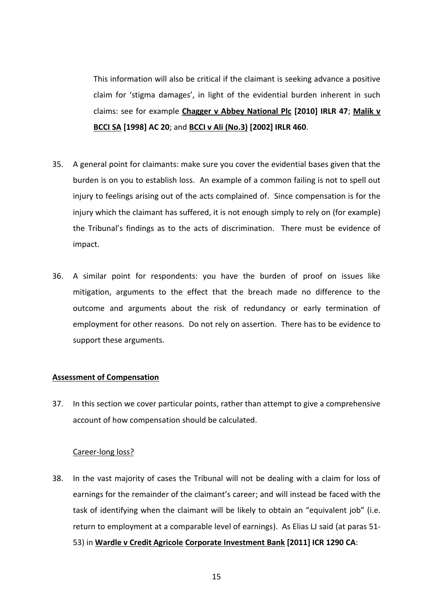This information will also be critical if the claimant is seeking advance a positive claim for 'stigma damages', in light of the evidential burden inherent in such claims: see for example **Chagger v Abbey National Plc [2010] IRLR 47**; **Malik v BCCI SA [1998] AC 20**; and **BCCI v Ali (No.3) [2002] IRLR 460**.

- 35. A general point for claimants: make sure you cover the evidential bases given that the burden is on you to establish loss. An example of a common failing is not to spell out injury to feelings arising out of the acts complained of. Since compensation is for the injury which the claimant has suffered, it is not enough simply to rely on (for example) the Tribunal's findings as to the acts of discrimination. There must be evidence of impact.
- 36. A similar point for respondents: you have the burden of proof on issues like mitigation, arguments to the effect that the breach made no difference to the outcome and arguments about the risk of redundancy or early termination of employment for other reasons. Do not rely on assertion. There has to be evidence to support these arguments.

#### **Assessment of Compensation**

37. In this section we cover particular points, rather than attempt to give a comprehensive account of how compensation should be calculated.

#### Career-long loss?

38. In the vast majority of cases the Tribunal will not be dealing with a claim for loss of earnings for the remainder of the claimant's career; and will instead be faced with the task of identifying when the claimant will be likely to obtain an "equivalent job" (i.e. return to employment at a comparable level of earnings). As Elias LJ said (at paras 51- 53) in **Wardle v Credit Agricole Corporate Investment Bank [2011] ICR 1290 CA**: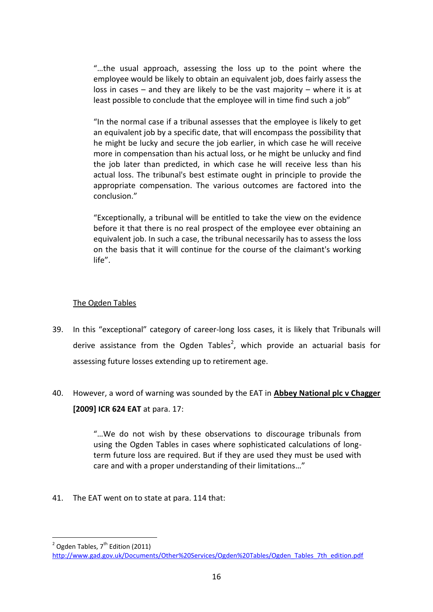"…the usual approach, assessing the loss up to the point where the employee would be likely to obtain an equivalent job, does fairly assess the loss in cases – and they are likely to be the vast majority – where it is at least possible to conclude that the employee will in time find such a job"

"In the normal case if a tribunal assesses that the employee is likely to get an equivalent job by a specific date, that will encompass the possibility that he might be lucky and secure the job earlier, in which case he will receive more in compensation than his actual loss, or he might be unlucky and find the job later than predicted, in which case he will receive less than his actual loss. The tribunal's best estimate ought in principle to provide the appropriate compensation. The various outcomes are factored into the conclusion."

"Exceptionally, a tribunal will be entitled to take the view on the evidence before it that there is no real prospect of the employee ever obtaining an equivalent job. In such a case, the tribunal necessarily has to assess the loss on the basis that it will continue for the course of the claimant's working life".

# The Ogden Tables

- 39. In this "exceptional" category of career-long loss cases, it is likely that Tribunals will derive assistance from the Ogden Tables<sup>2</sup>, which provide an actuarial basis for assessing future losses extending up to retirement age.
- 40. However, a word of warning was sounded by the EAT in **Abbey National plc v Chagger [2009] ICR 624 EAT** at para. 17:

"…We do not wish by these observations to discourage tribunals from using the Ogden Tables in cases where sophisticated calculations of longterm future loss are required. But if they are used they must be used with care and with a proper understanding of their limitations…"

41. The EAT went on to state at para. 114 that:

<sup>-&</sup>lt;br><sup>2</sup> Ogden Tables, 7<sup>th</sup> Edition (2011)

[http://www.gad.gov.uk/Documents/Other%20Services/Ogden%20Tables/Ogden\\_Tables\\_7th\\_edition.pdf](http://www.gad.gov.uk/Documents/Other%20Services/Ogden%20Tables/Ogden_Tables_7th_edition.pdf)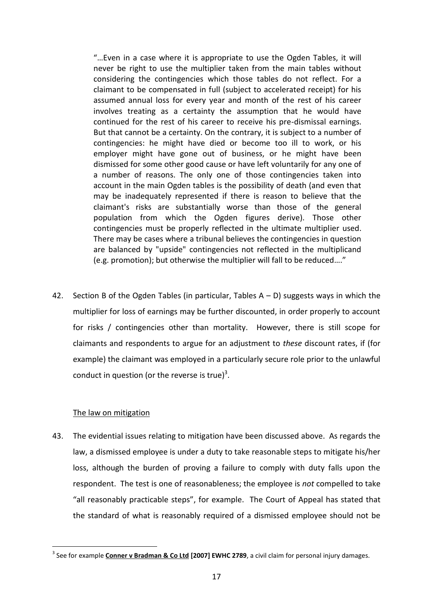"…Even in a case where it is appropriate to use the Ogden Tables, it will never be right to use the multiplier taken from the main tables without considering the contingencies which those tables do not reflect. For a claimant to be compensated in full (subject to accelerated receipt) for his assumed annual loss for every year and month of the rest of his career involves treating as a certainty the assumption that he would have continued for the rest of his career to receive his pre-dismissal earnings. But that cannot be a certainty. On the contrary, it is subject to a number of contingencies: he might have died or become too ill to work, or his employer might have gone out of business, or he might have been dismissed for some other good cause or have left voluntarily for any one of a number of reasons. The only one of those contingencies taken into account in the main Ogden tables is the possibility of death (and even that may be inadequately represented if there is reason to believe that the claimant's risks are substantially worse than those of the general population from which the Ogden figures derive). Those other contingencies must be properly reflected in the ultimate multiplier used. There may be cases where a tribunal believes the contingencies in question are balanced by "upside" contingencies not reflected in the multiplicand (e.g. promotion); but otherwise the multiplier will fall to be reduced…."

42. Section B of the Ogden Tables (in particular, Tables  $A - D$ ) suggests ways in which the multiplier for loss of earnings may be further discounted, in order properly to account for risks / contingencies other than mortality. However, there is still scope for claimants and respondents to argue for an adjustment to *these* discount rates, if (for example) the claimant was employed in a particularly secure role prior to the unlawful conduct in question (or the reverse is true)<sup>3</sup>.

## The law on mitigation

1

43. The evidential issues relating to mitigation have been discussed above. As regards the law, a dismissed employee is under a duty to take reasonable steps to mitigate his/her loss, although the burden of proving a failure to comply with duty falls upon the respondent. The test is one of reasonableness; the employee is *not* compelled to take "all reasonably practicable steps", for example. The Court of Appeal has stated that the standard of what is reasonably required of a dismissed employee should not be

<sup>&</sup>lt;sup>3</sup> See for example *Conner v Bradman & Co Ltd* [2007] EWHC 2789, a civil claim for personal injury damages.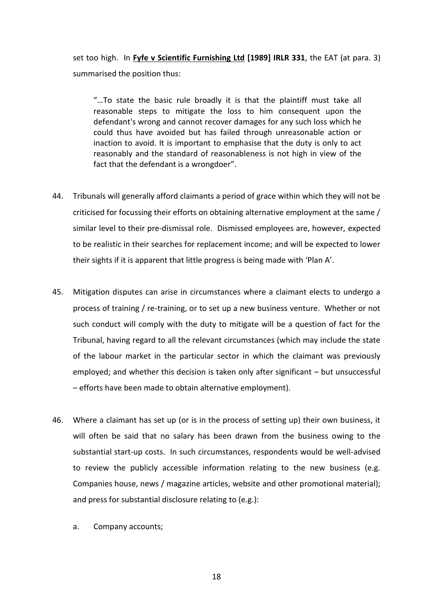set too high. In **Fyfe v Scientific Furnishing Ltd [1989] IRLR 331**, the EAT (at para. 3) summarised the position thus:

"…To state the basic rule broadly it is that the plaintiff must take all reasonable steps to mitigate the loss to him consequent upon the defendant's wrong and cannot recover damages for any such loss which he could thus have avoided but has failed through unreasonable action or inaction to avoid. It is important to emphasise that the duty is only to act reasonably and the standard of reasonableness is not high in view of the fact that the defendant is a wrongdoer".

- 44. Tribunals will generally afford claimants a period of grace within which they will not be criticised for focussing their efforts on obtaining alternative employment at the same / similar level to their pre-dismissal role. Dismissed employees are, however, expected to be realistic in their searches for replacement income; and will be expected to lower their sights if it is apparent that little progress is being made with 'Plan A'.
- 45. Mitigation disputes can arise in circumstances where a claimant elects to undergo a process of training / re-training, or to set up a new business venture. Whether or not such conduct will comply with the duty to mitigate will be a question of fact for the Tribunal, having regard to all the relevant circumstances (which may include the state of the labour market in the particular sector in which the claimant was previously employed; and whether this decision is taken only after significant – but unsuccessful – efforts have been made to obtain alternative employment).
- 46. Where a claimant has set up (or is in the process of setting up) their own business, it will often be said that no salary has been drawn from the business owing to the substantial start-up costs. In such circumstances, respondents would be well-advised to review the publicly accessible information relating to the new business (e.g. Companies house, news / magazine articles, website and other promotional material); and press for substantial disclosure relating to (e.g.):
	- a. Company accounts;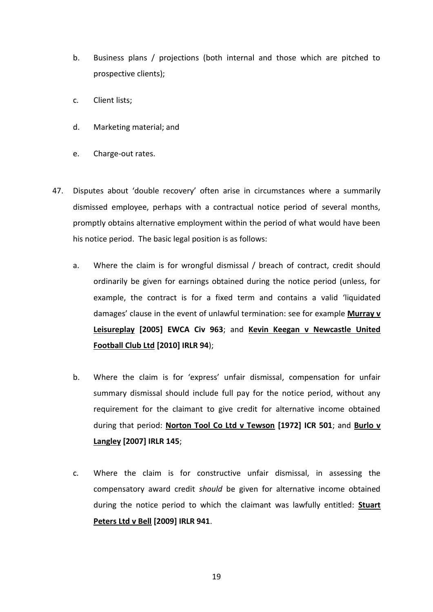- b. Business plans / projections (both internal and those which are pitched to prospective clients);
- c. Client lists;
- d. Marketing material; and
- e. Charge-out rates.
- 47. Disputes about 'double recovery' often arise in circumstances where a summarily dismissed employee, perhaps with a contractual notice period of several months, promptly obtains alternative employment within the period of what would have been his notice period. The basic legal position is as follows:
	- a. Where the claim is for wrongful dismissal / breach of contract, credit should ordinarily be given for earnings obtained during the notice period (unless, for example, the contract is for a fixed term and contains a valid 'liquidated damages' clause in the event of unlawful termination: see for example **Murray v Leisureplay [2005] EWCA Civ 963**; and **Kevin Keegan v Newcastle United Football Club Ltd [2010] IRLR 94**);
	- b. Where the claim is for 'express' unfair dismissal, compensation for unfair summary dismissal should include full pay for the notice period, without any requirement for the claimant to give credit for alternative income obtained during that period: **Norton Tool Co Ltd v Tewson [1972] ICR 501**; and **Burlo v Langley [2007] IRLR 145**;
	- c. Where the claim is for constructive unfair dismissal, in assessing the compensatory award credit *should* be given for alternative income obtained during the notice period to which the claimant was lawfully entitled: **Stuart Peters Ltd v Bell [2009] IRLR 941**.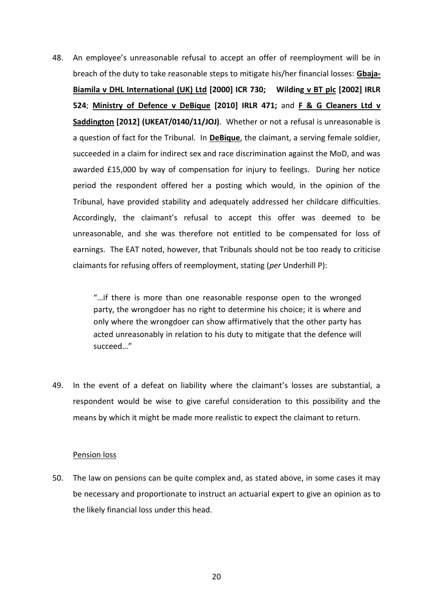48. An employee's unreasonable refusal to accept an offer of reemployment will be in breach of the duty to take reasonable steps to mitigate his/her financial losses: **Gbaja-Biamila v DHL International (UK) Ltd [2000] ICR 730; Wilding v BT plc [2002] IRLR 524**; **Ministry of Defence v DeBique [2010] IRLR 471;** and **F & G Cleaners Ltd v Saddington [2012] (UKEAT/0140/11/JOJ)**. Whether or not a refusal is unreasonable is a question of fact for the Tribunal. In **DeBique**, the claimant, a serving female soldier, succeeded in a claim for indirect sex and race discrimination against the MoD, and was awarded £15,000 by way of compensation for injury to feelings. During her notice period the respondent offered her a posting which would, in the opinion of the Tribunal, have provided stability and adequately addressed her childcare difficulties. Accordingly, the claimant's refusal to accept this offer was deemed to be unreasonable, and she was therefore not entitled to be compensated for loss of earnings. The EAT noted, however, that Tribunals should not be too ready to criticise claimants for refusing offers of reemployment, stating (*per* Underhill P):

> "…if there is more than one reasonable response open to the wronged party, the wrongdoer has no right to determine his choice; it is where and only where the wrongdoer can show affirmatively that the other party has acted unreasonably in relation to his duty to mitigate that the defence will succeed…"

49. In the event of a defeat on liability where the claimant's losses are substantial, a respondent would be wise to give careful consideration to this possibility and the means by which it might be made more realistic to expect the claimant to return.

#### Pension loss

50. The law on pensions can be quite complex and, as stated above, in some cases it may be necessary and proportionate to instruct an actuarial expert to give an opinion as to the likely financial loss under this head.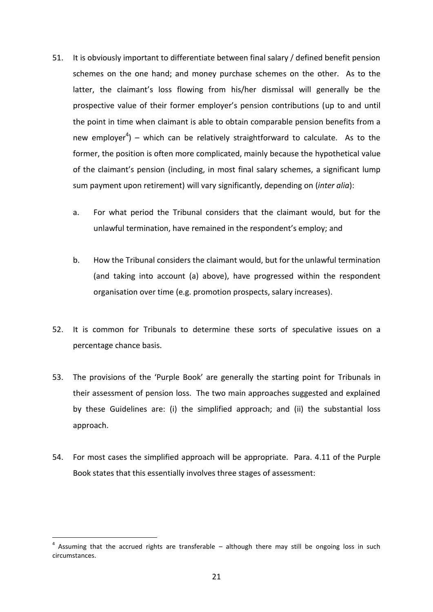- 51. It is obviously important to differentiate between final salary / defined benefit pension schemes on the one hand; and money purchase schemes on the other. As to the latter, the claimant's loss flowing from his/her dismissal will generally be the prospective value of their former employer's pension contributions (up to and until the point in time when claimant is able to obtain comparable pension benefits from a new employer<sup>4</sup>) – which can be relatively straightforward to calculate. As to the former, the position is often more complicated, mainly because the hypothetical value of the claimant's pension (including, in most final salary schemes, a significant lump sum payment upon retirement) will vary significantly, depending on (*inter alia*):
	- a. For what period the Tribunal considers that the claimant would, but for the unlawful termination, have remained in the respondent's employ; and
	- b. How the Tribunal considers the claimant would, but for the unlawful termination (and taking into account (a) above), have progressed within the respondent organisation over time (e.g. promotion prospects, salary increases).
- 52. It is common for Tribunals to determine these sorts of speculative issues on a percentage chance basis.
- 53. The provisions of the 'Purple Book' are generally the starting point for Tribunals in their assessment of pension loss. The two main approaches suggested and explained by these Guidelines are: (i) the simplified approach; and (ii) the substantial loss approach.
- 54. For most cases the simplified approach will be appropriate. Para. 4.11 of the Purple Book states that this essentially involves three stages of assessment:

<u>.</u>

 $4$  Assuming that the accrued rights are transferable  $-$  although there may still be ongoing loss in such circumstances.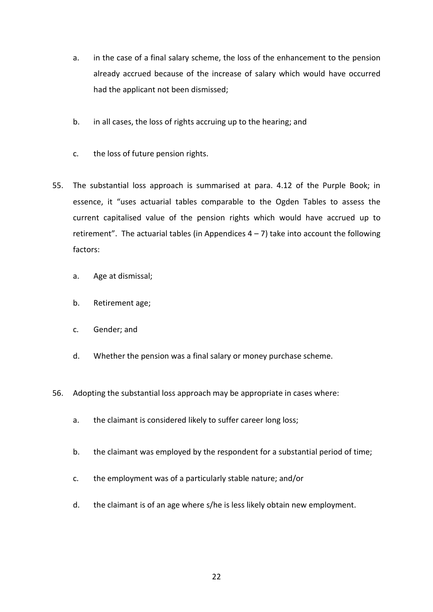- a. in the case of a final salary scheme, the loss of the enhancement to the pension already accrued because of the increase of salary which would have occurred had the applicant not been dismissed;
- b. in all cases, the loss of rights accruing up to the hearing; and
- c. the loss of future pension rights.
- 55. The substantial loss approach is summarised at para. 4.12 of the Purple Book; in essence, it "uses actuarial tables comparable to the Ogden Tables to assess the current capitalised value of the pension rights which would have accrued up to retirement". The actuarial tables (in Appendices  $4 - 7$ ) take into account the following factors:
	- a. Age at dismissal;
	- b. Retirement age;
	- c. Gender; and
	- d. Whether the pension was a final salary or money purchase scheme.
- 56. Adopting the substantial loss approach may be appropriate in cases where:
	- a. the claimant is considered likely to suffer career long loss;
	- b. the claimant was employed by the respondent for a substantial period of time;
	- c. the employment was of a particularly stable nature; and/or
	- d. the claimant is of an age where s/he is less likely obtain new employment.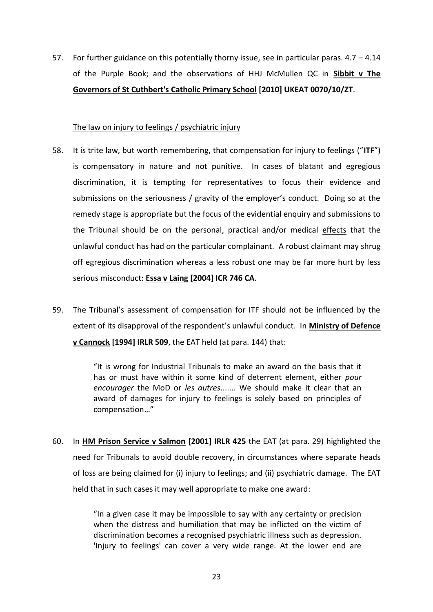57. For further guidance on this potentially thorny issue, see in particular paras.  $4.7 - 4.14$ of the Purple Book; and the observations of HHJ McMullen QC in **Sibbit v The Governors of St Cuthbert's Catholic Primary School [2010] UKEAT 0070/10/ZT**.

### The law on injury to feelings / psychiatric injury

- 58. It is trite law, but worth remembering, that compensation for injury to feelings ("**ITF**") is compensatory in nature and not punitive. In cases of blatant and egregious discrimination, it is tempting for representatives to focus their evidence and submissions on the seriousness / gravity of the employer's conduct. Doing so at the remedy stage is appropriate but the focus of the evidential enquiry and submissions to the Tribunal should be on the personal, practical and/or medical effects that the unlawful conduct has had on the particular complainant. A robust claimant may shrug off egregious discrimination whereas a less robust one may be far more hurt by less serious misconduct: **Essa v Laing [2004] ICR 746 CA**.
- 59. The Tribunal's assessment of compensation for ITF should not be influenced by the extent of its disapproval of the respondent's unlawful conduct. In **Ministry of Defence v Cannock [1994] IRLR 509**, the EAT held (at para. 144) that:

"It is wrong for Industrial Tribunals to make an award on the basis that it has or must have within it some kind of deterrent element, either *pour encourager* the MoD or *les autres*....... We should make it clear that an award of damages for injury to feelings is solely based on principles of compensation…"

60. In **HM Prison Service v Salmon [2001] IRLR 425** the EAT (at para. 29) highlighted the need for Tribunals to avoid double recovery, in circumstances where separate heads of loss are being claimed for (i) injury to feelings; and (ii) psychiatric damage. The EAT held that in such cases it may well appropriate to make one award:

> "In a given case it may be impossible to say with any certainty or precision when the distress and humiliation that may be inflicted on the victim of discrimination becomes a recognised psychiatric illness such as depression. 'Injury to feelings' can cover a very wide range. At the lower end are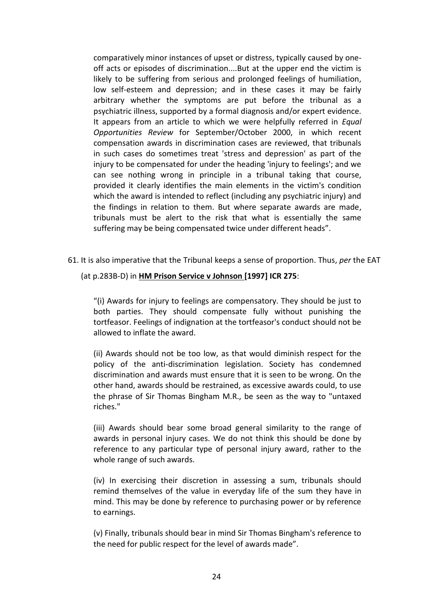comparatively minor instances of upset or distress, typically caused by oneoff acts or episodes of discrimination....But at the upper end the victim is likely to be suffering from serious and prolonged feelings of humiliation, low self-esteem and depression; and in these cases it may be fairly arbitrary whether the symptoms are put before the tribunal as a psychiatric illness, supported by a formal diagnosis and/or expert evidence. It appears from an article to which we were helpfully referred in *Equal Opportunities Review* for September/October 2000, in which recent compensation awards in discrimination cases are reviewed, that tribunals in such cases do sometimes treat 'stress and depression' as part of the injury to be compensated for under the heading 'injury to feelings'; and we can see nothing wrong in principle in a tribunal taking that course, provided it clearly identifies the main elements in the victim's condition which the award is intended to reflect (including any psychiatric injury) and the findings in relation to them. But where separate awards are made, tribunals must be alert to the risk that what is essentially the same suffering may be being compensated twice under different heads".

61. It is also imperative that the Tribunal keeps a sense of proportion. Thus, *per* the EAT

# (at p.283B-D) in **HM Prison Service v Johnson [1997] ICR 275**:

"(i) Awards for injury to feelings are compensatory. They should be just to both parties. They should compensate fully without punishing the tortfeasor. Feelings of indignation at the tortfeasor's conduct should not be allowed to inflate the award.

(ii) Awards should not be too low, as that would diminish respect for the policy of the anti-discrimination legislation. Society has condemned discrimination and awards must ensure that it is seen to be wrong. On the other hand, awards should be restrained, as excessive awards could, to use the phrase of Sir Thomas Bingham M.R., be seen as the way to "untaxed riches."

(iii) Awards should bear some broad general similarity to the range of awards in personal injury cases. We do not think this should be done by reference to any particular type of personal injury award, rather to the whole range of such awards.

(iv) In exercising their discretion in assessing a sum, tribunals should remind themselves of the value in everyday life of the sum they have in mind. This may be done by reference to purchasing power or by reference to earnings.

(v) Finally, tribunals should bear in mind Sir Thomas Bingham's reference to the need for public respect for the level of awards made".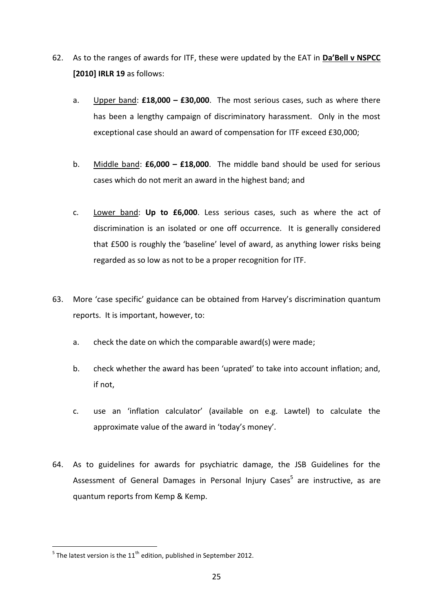- 62. As to the ranges of awards for ITF, these were updated by the EAT in **Da'Bell v NSPCC [2010] IRLR 19** as follows:
	- a. Upper band: **£18,000 – £30,000**. The most serious cases, such as where there has been a lengthy campaign of discriminatory harassment. Only in the most exceptional case should an award of compensation for ITF exceed £30,000;
	- b. Middle band: **£6,000 – £18,000**. The middle band should be used for serious cases which do not merit an award in the highest band; and
	- c. Lower band: **Up to £6,000**. Less serious cases, such as where the act of discrimination is an isolated or one off occurrence. It is generally considered that £500 is roughly the 'baseline' level of award, as anything lower risks being regarded as so low as not to be a proper recognition for ITF.
- 63. More 'case specific' guidance can be obtained from Harvey's discrimination quantum reports. It is important, however, to:
	- a. check the date on which the comparable award(s) were made;
	- b. check whether the award has been 'uprated' to take into account inflation; and, if not,
	- c. use an 'inflation calculator' (available on e.g. Lawtel) to calculate the approximate value of the award in 'today's money'.
- 64. As to guidelines for awards for psychiatric damage, the JSB Guidelines for the Assessment of General Damages in Personal Injury Cases<sup>5</sup> are instructive, as are quantum reports from Kemp & Kemp.

**The latest version is the 11<sup>th</sup> edition, published in September 2012.**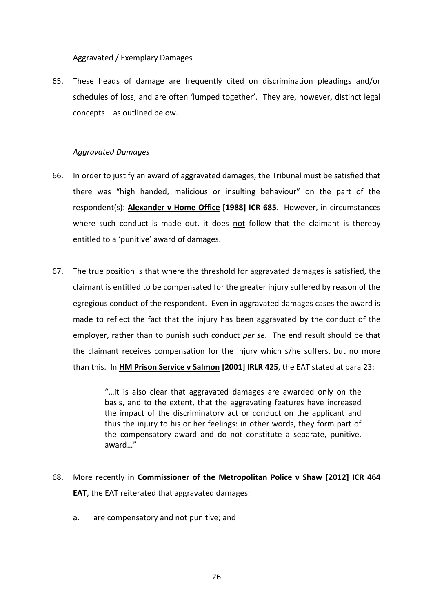# Aggravated / Exemplary Damages

65. These heads of damage are frequently cited on discrimination pleadings and/or schedules of loss; and are often 'lumped together'. They are, however, distinct legal concepts – as outlined below.

# *Aggravated Damages*

- 66. In order to justify an award of aggravated damages, the Tribunal must be satisfied that there was "high handed, malicious or insulting behaviour" on the part of the respondent(s): **Alexander v Home Office [1988] ICR 685**. However, in circumstances where such conduct is made out, it does not follow that the claimant is thereby entitled to a 'punitive' award of damages.
- 67. The true position is that where the threshold for aggravated damages is satisfied, the claimant is entitled to be compensated for the greater injury suffered by reason of the egregious conduct of the respondent. Even in aggravated damages cases the award is made to reflect the fact that the injury has been aggravated by the conduct of the employer, rather than to punish such conduct *per se*. The end result should be that the claimant receives compensation for the injury which s/he suffers, but no more than this. In **HM Prison Service v Salmon [2001] IRLR 425**, the EAT stated at para 23:

"…it is also clear that aggravated damages are awarded only on the basis, and to the extent, that the aggravating features have increased the impact of the discriminatory act or conduct on the applicant and thus the injury to his or her feelings: in other words, they form part of the compensatory award and do not constitute a separate, punitive, award…"

- 68. More recently in **Commissioner of the Metropolitan Police v Shaw [2012] ICR 464 EAT**, the EAT reiterated that aggravated damages:
	- a. are compensatory and not punitive; and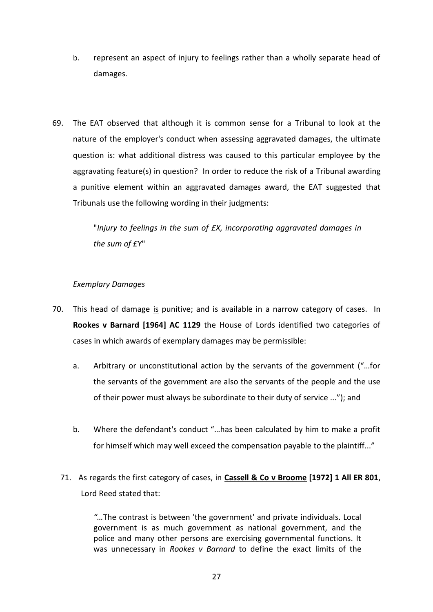- b. represent an aspect of injury to feelings rather than a wholly separate head of damages.
- 69. The EAT observed that although it is common sense for a Tribunal to look at the nature of the employer's conduct when assessing aggravated damages, the ultimate question is: what additional distress was caused to this particular employee by the aggravating feature(s) in question? In order to reduce the risk of a Tribunal awarding a punitive element within an aggravated damages award, the EAT suggested that Tribunals use the following wording in their judgments:

"*Injury to feelings in the sum of £X, incorporating aggravated damages in the sum of £Y*"

# *Exemplary Damages*

- 70. This head of damage is punitive; and is available in a narrow category of cases. In **Rookes v Barnard [1964] AC 1129** the House of Lords identified two categories of cases in which awards of exemplary damages may be permissible:
	- a. Arbitrary or unconstitutional action by the servants of the government ("…for the servants of the government are also the servants of the people and the use of their power must always be subordinate to their duty of service ..."); and
	- b. Where the defendant's conduct "…has been calculated by him to make a profit for himself which may well exceed the compensation payable to the plaintiff..."
	- 71. As regards the first category of cases, in **Cassell & Co v Broome [1972] 1 All ER 801**, Lord Reed stated that:

*"…*The contrast is between 'the government' and private individuals. Local government is as much government as national government, and the police and many other persons are exercising governmental functions. It was unnecessary in *Rookes v Barnard* to define the exact limits of the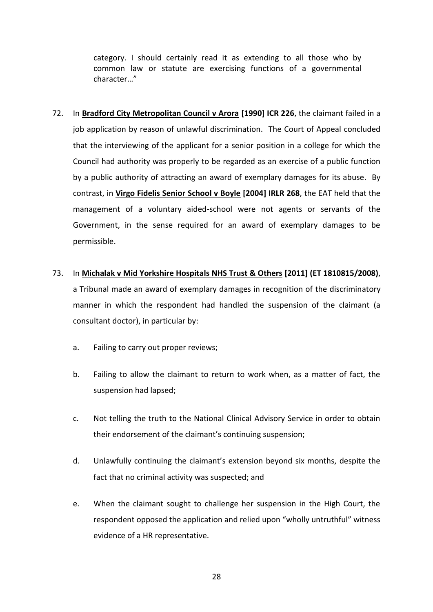category. I should certainly read it as extending to all those who by common law or statute are exercising functions of a governmental character…"

72. In **Bradford City Metropolitan Council v Arora [1990] ICR 226**, the claimant failed in a job application by reason of unlawful discrimination. The Court of Appeal concluded that the interviewing of the applicant for a senior position in a college for which the Council had authority was properly to be regarded as an exercise of a public function by a public authority of attracting an award of exemplary damages for its abuse. By contrast, in **Virgo Fidelis Senior School v Boyle [2004] IRLR 268**, the EAT held that the management of a voluntary aided-school were not agents or servants of the Government, in the sense required for an award of exemplary damages to be permissible.

# 73. In **Michalak v Mid Yorkshire Hospitals NHS Trust & Others [2011] (ET 1810815/2008)**,

a Tribunal made an award of exemplary damages in recognition of the discriminatory manner in which the respondent had handled the suspension of the claimant (a consultant doctor), in particular by:

- a. Failing to carry out proper reviews;
- b. Failing to allow the claimant to return to work when, as a matter of fact, the suspension had lapsed;
- c. Not telling the truth to the National Clinical Advisory Service in order to obtain their endorsement of the claimant's continuing suspension;
- d. Unlawfully continuing the claimant's extension beyond six months, despite the fact that no criminal activity was suspected; and
- e. When the claimant sought to challenge her suspension in the High Court, the respondent opposed the application and relied upon "wholly untruthful" witness evidence of a HR representative.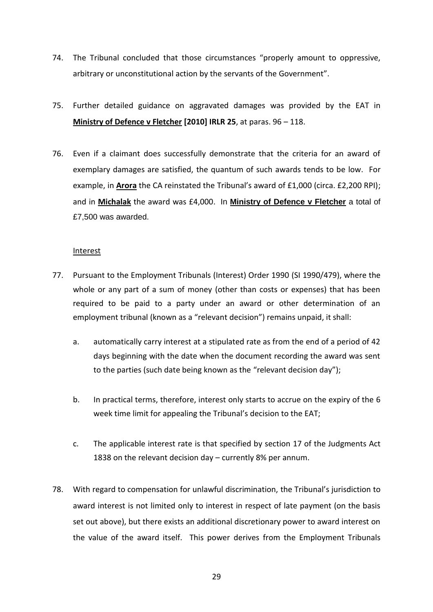- 74. The Tribunal concluded that those circumstances "properly amount to oppressive, arbitrary or unconstitutional action by the servants of the Government".
- 75. Further detailed guidance on aggravated damages was provided by the EAT in **Ministry of Defence v Fletcher [2010] IRLR 25**, at paras. 96 – 118.
- 76. Even if a claimant does successfully demonstrate that the criteria for an award of exemplary damages are satisfied, the quantum of such awards tends to be low. For example, in **Arora** the CA reinstated the Tribunal's award of £1,000 (circa. £2,200 RPI); and in **Michalak** the award was £4,000. In **Ministry of Defence v Fletcher** a total of £7,500 was awarded.

### Interest

- 77. Pursuant to the Employment Tribunals (Interest) Order 1990 [\(SI 1990/479\)](https://www.lexisnexis.com/uk/legal/search/enhRunRemoteLink.do?ersKey=23_T15777668749&langcountry=GB&backKey=20_T15777668750&linkInfo=F%23GB%23UK_SI%23num%251990_479s_Title%25&service=citation&A=0.5118150552813983), where the whole or any part of a sum of money (other than costs or expenses) that has been required to be paid to a party under an award or other determination of an employment tribunal (known as a "relevant decision") remains unpaid, it shall:
	- a. automatically carry interest at a stipulated rate as from the end of a period of 42 days beginning with the date when the document recording the award was sent to the parties (such date being known as the "relevant decision day");
	- b. In practical terms, therefore, interest only starts to accrue on the expiry of the 6 week time limit for appealing the Tribunal's decision to the EAT;
	- c. The applicable interest rate is that specified by [section](https://www.lexisnexis.com/uk/legal/search/enhRunRemoteLink.do?ersKey=23_T15777668749&langcountry=GB&backKey=20_T15777668750&linkInfo=F%23GB%23UK_ACTS%23section%2517%25sect%2517%25num%251838_110a%25&service=citation&A=0.2767917903782747) 17 of the Judgments Act 1838 on the relevant decision day – currently 8% per annum.
- 78. With regard to compensation for unlawful discrimination, the Tribunal's jurisdiction to award interest is not limited only to interest in respect of late payment (on the basis set out above), but there exists an additional discretionary power to award interest on the value of the award itself. This power derives from the Employment Tribunals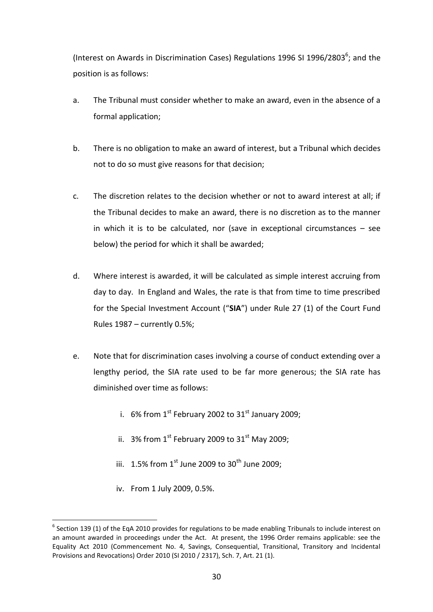(Interest on Awards in Discrimination Cases) Regulations 1996 [SI 1996/2803](https://www.lexisnexis.com/uk/legal/search/enhRunRemoteLink.do?ersKey=23_T15777705116&langcountry=GB&backKey=20_T15777705117&linkInfo=F%23GB%23UK_SI%23num%251996_2803s_Title%25&service=citation&A=0.9799092607273298) $^6$ ; and the position is as follows:

- a. The Tribunal must consider whether to make an award, even in the absence of a formal application;
- b. There is no obligation to make an award of interest, but a Tribunal which decides not to do so must give reasons for that decision;
- c. The discretion relates to the decision whether or not to award interest at all; if the Tribunal decides to make an award, there is no discretion as to the manner in which it is to be calculated, nor (save in exceptional circumstances – see below) the period for which it shall be awarded;
- d. Where interest is awarded, it will be calculated as simple interest accruing from day to day. In England and Wales, the rate is that from time to time prescribed for the Special Investment Account ("**SIA**") under Rule 27 (1) of the Court Fund Rules 1987 – currently 0.5%;
- e. Note that for discrimination cases involving a course of conduct extending over a lengthy period, the SIA rate used to be far more generous; the SIA rate has diminished over time as follows:
	- i. 6% from  $1^{st}$  February 2002 to  $31^{st}$  January 2009;
	- ii. 3% from  $1^{st}$  February 2009 to 31st May 2009;
	- iii.  $1.5\%$  from  $1^{st}$  June 2009 to 30<sup>th</sup> June 2009;
	- iv. From 1 July 2009, 0.5%.

<u>.</u>

 $<sup>6</sup>$  Section 139 (1) of the EqA 2010 provides for regulations to be made enabling Tribunals to include interest on</sup> an amount awarded in proceedings under the Act. At present, the 1996 Order remains applicable: see the Equality Act 2010 (Commencement No. 4, Savings, Consequential, Transitional, Transitory and Incidental Provisions and Revocations) Order 2010 (SI 2010 / 2317), Sch. 7, Art. 21 (1).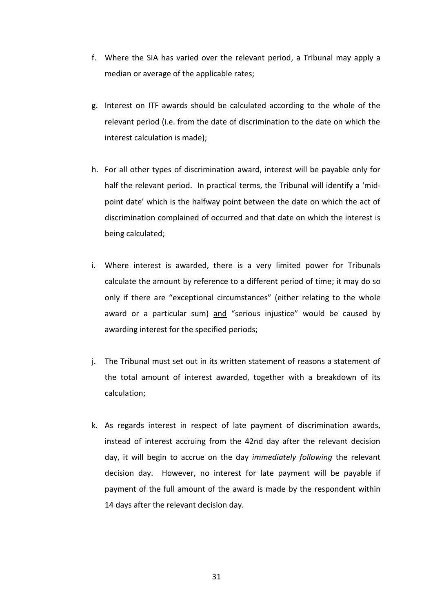- f. Where the SIA has varied over the relevant period, a Tribunal may apply a median or average of the applicable rates;
- g. Interest on ITF awards should be calculated according to the whole of the relevant period (i.e. from the date of discrimination to the date on which the interest calculation is made);
- h. For all other types of discrimination award, interest will be payable only for half the relevant period. In practical terms, the Tribunal will identify a 'midpoint date' which is the halfway point between the date on which the act of discrimination complained of occurred and that date on which the interest is being calculated;
- i. Where interest is awarded, there is a very limited power for Tribunals calculate the amount by reference to a different period of time; it may do so only if there are "exceptional circumstances" (either relating to the whole award or a particular sum) and "serious injustice" would be caused by awarding interest for the specified periods;
- j. The Tribunal must set out in its written statement of reasons a statement of the total amount of interest awarded, together with a breakdown of its calculation;
- k. As regards interest in respect of late payment of discrimination awards, instead of interest accruing from the 42nd day after the relevant decision day, it will begin to accrue on the day *immediately following* the relevant decision day. However, no interest for late payment will be payable if payment of the full amount of the award is made by the respondent within 14 days after the relevant decision day.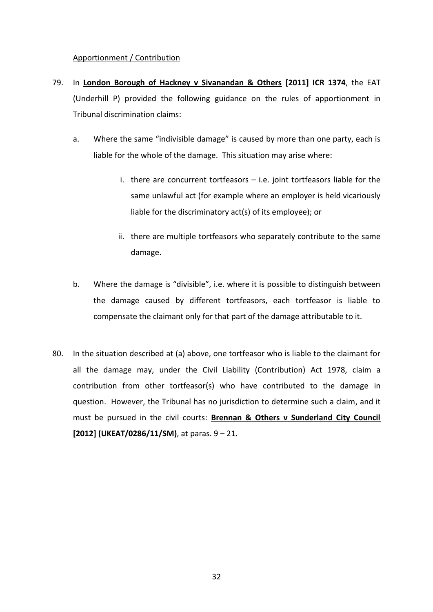# Apportionment / Contribution

- 79. In **London Borough of Hackney v Sivanandan & Others [2011] ICR 1374**, the EAT (Underhill P) provided the following guidance on the rules of apportionment in Tribunal discrimination claims:
	- a. Where the same "indivisible damage" is caused by more than one party, each is liable for the whole of the damage. This situation may arise where:
		- i. there are concurrent tortfeasors i.e. joint tortfeasors liable for the same unlawful act (for example where an employer is held vicariously liable for the discriminatory act(s) of its employee); or
		- ii. there are multiple tortfeasors who separately contribute to the same damage.
	- b. Where the damage is "divisible", i.e. where it is possible to distinguish between the damage caused by different tortfeasors, each tortfeasor is liable to compensate the claimant only for that part of the damage attributable to it.
- 80. In the situation described at (a) above, one tortfeasor who is liable to the claimant for all the damage may, under the Civil Liability (Contribution) Act 1978, claim a contribution from other tortfeasor(s) who have contributed to the damage in question. However, the Tribunal has no jurisdiction to determine such a claim, and it must be pursued in the civil courts: **Brennan & Others v Sunderland City Council [2012] (UKEAT/0286/11/SM)**, at paras. 9 – 21**.**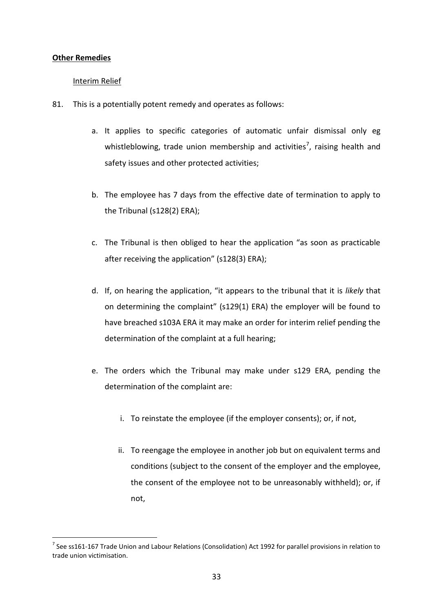## **Other Remedies**

# Interim Relief

- 81. This is a potentially potent remedy and operates as follows:
	- a. It applies to specific categories of automatic unfair dismissal only eg whistleblowing, trade union membership and activities<sup>7</sup>, raising health and safety issues and other protected activities;
	- b. The employee has 7 days from the effective date of termination to apply to the Tribunal (s128(2) ERA);
	- c. The Tribunal is then obliged to hear the application "as soon as practicable after receiving the application" (s128(3) ERA);
	- d. If, on hearing the application, "it appears to the tribunal that it is *likely* that on determining the complaint" (s129(1) ERA) the employer will be found to have breached s103A ERA it may make an order for interim relief pending the determination of the complaint at a full hearing;
	- e. The orders which the Tribunal may make under s129 ERA, pending the determination of the complaint are:
		- i. To reinstate the employee (if the employer consents); or, if not,
		- ii. To reengage the employee in another job but on equivalent terms and conditions (subject to the consent of the employer and the employee, the consent of the employee not to be unreasonably withheld); or, if not,

<sup>&</sup>lt;u>.</u> <sup>7</sup> See ss161-167 Trade Union and Labour Relations (Consolidation) Act 1992 for parallel provisions in relation to trade union victimisation.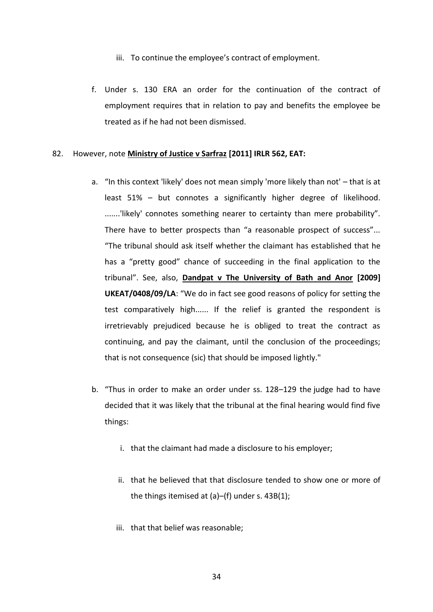- iii. To continue the employee's contract of employment.
- f. Under s. 130 ERA an order for the continuation of the contract of employment requires that in relation to pay and benefits the employee be treated as if he had not been dismissed.

### 82. However, note **Ministry of Justice v Sarfraz [2011] IRLR 562, EAT:**

- a. "In this context 'likely' does not mean simply 'more likely than not' that is at least 51% – but connotes a significantly higher degree of likelihood. .......'likely' connotes something nearer to certainty than mere probability". There have to better prospects than "a reasonable prospect of success"... "The tribunal should ask itself whether the claimant has established that he has a "pretty good" chance of succeeding in the final application to the tribunal". See, also, **Dandpat v The University of Bath and Anor [2009] UKEAT/0408/09/LA**: "We do in fact see good reasons of policy for setting the test comparatively high...... If the relief is granted the respondent is irretrievably prejudiced because he is obliged to treat the contract as continuing, and pay the claimant, until the conclusion of the proceedings; that is not consequence (sic) that should be imposed lightly."
- b. "Thus in order to make an order under ss. 128–129 the judge had to have decided that it was likely that the tribunal at the final hearing would find five things:
	- i. that the claimant had made a disclosure to his employer;
	- ii. that he believed that that disclosure tended to show one or more of the things itemised at (a)–(f) under s. 43B(1);
	- iii. that that belief was reasonable;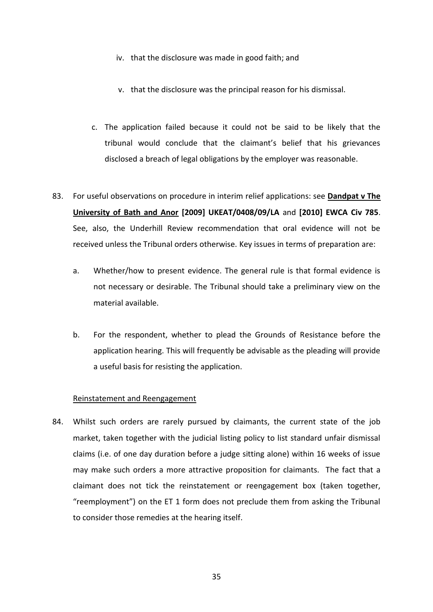- iv. that the disclosure was made in good faith; and
- v. that the disclosure was the principal reason for his dismissal.
- c. The application failed because it could not be said to be likely that the tribunal would conclude that the claimant's belief that his grievances disclosed a breach of legal obligations by the employer was reasonable.
- 83. For useful observations on procedure in interim relief applications: see **Dandpat v The University of Bath and Anor [2009] UKEAT/0408/09/LA** and **[2010] EWCA Civ 785**. See, also, the Underhill Review recommendation that oral evidence will not be received unless the Tribunal orders otherwise. Key issues in terms of preparation are:
	- a. Whether/how to present evidence. The general rule is that formal evidence is not necessary or desirable. The Tribunal should take a preliminary view on the material available.
	- b. For the respondent, whether to plead the Grounds of Resistance before the application hearing. This will frequently be advisable as the pleading will provide a useful basis for resisting the application.

## Reinstatement and Reengagement

84. Whilst such orders are rarely pursued by claimants, the current state of the job market, taken together with the judicial listing policy to list standard unfair dismissal claims (i.e. of one day duration before a judge sitting alone) within 16 weeks of issue may make such orders a more attractive proposition for claimants. The fact that a claimant does not tick the reinstatement or reengagement box (taken together, "reemployment") on the ET 1 form does not preclude them from asking the Tribunal to consider those remedies at the hearing itself.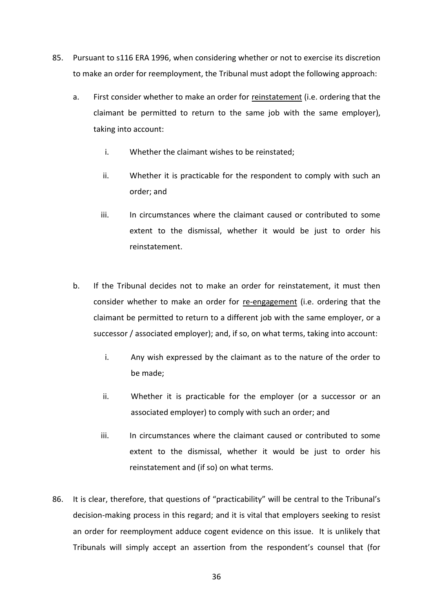- 85. Pursuant to s116 ERA 1996, when considering whether or not to exercise its discretion to make an order for reemployment, the Tribunal must adopt the following approach:
	- a. First consider whether to make an order for reinstatement (i.e. ordering that the claimant be permitted to return to the same job with the same employer), taking into account:
		- i. Whether the claimant wishes to be reinstated;
		- ii. Whether it is practicable for the respondent to comply with such an order; and
		- iii. In circumstances where the claimant caused or contributed to some extent to the dismissal, whether it would be just to order his reinstatement.
	- b. If the Tribunal decides not to make an order for reinstatement, it must then consider whether to make an order for re-engagement (i.e. ordering that the claimant be permitted to return to a different job with the same employer, or a successor / associated employer); and, if so, on what terms, taking into account:
		- i. Any wish expressed by the claimant as to the nature of the order to be made;
		- ii. Whether it is practicable for the employer (or a successor or an associated employer) to comply with such an order; and
		- iii. In circumstances where the claimant caused or contributed to some extent to the dismissal, whether it would be just to order his reinstatement and (if so) on what terms.
- 86. It is clear, therefore, that questions of "practicability" will be central to the Tribunal's decision-making process in this regard; and it is vital that employers seeking to resist an order for reemployment adduce cogent evidence on this issue. It is unlikely that Tribunals will simply accept an assertion from the respondent's counsel that (for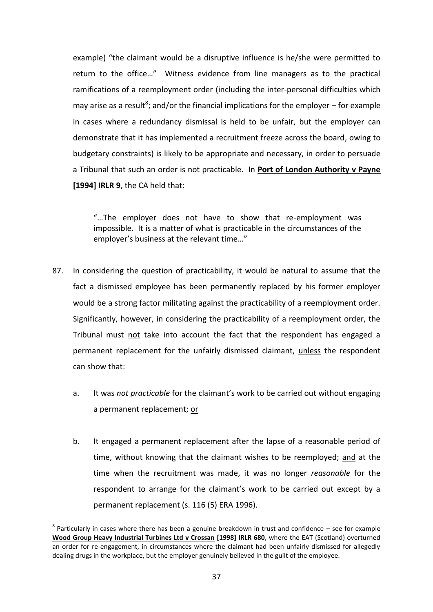example) "the claimant would be a disruptive influence is he/she were permitted to return to the office…" Witness evidence from line managers as to the practical ramifications of a reemployment order (including the inter-personal difficulties which may arise as a result<sup>8</sup>; and/or the financial implications for the employer – for example in cases where a redundancy dismissal is held to be unfair, but the employer can demonstrate that it has implemented a recruitment freeze across the board, owing to budgetary constraints) is likely to be appropriate and necessary, in order to persuade a Tribunal that such an order is not practicable. In **Port of London Authority v Payne [1994] IRLR 9**, the CA held that:

"…The employer does not have to show that re-employment was impossible. It is a matter of what is practicable in the circumstances of the employer's business at the relevant time…"

- 87. In considering the question of practicability, it would be natural to assume that the fact a dismissed employee has been permanently replaced by his former employer would be a strong factor militating against the practicability of a reemployment order. Significantly, however, in considering the practicability of a reemployment order, the Tribunal must not take into account the fact that the respondent has engaged a permanent replacement for the unfairly dismissed claimant, unless the respondent can show that:
	- a. It was *not practicable* for the claimant's work to be carried out without engaging a permanent replacement; or
	- b. It engaged a permanent replacement after the lapse of a reasonable period of time, without knowing that the claimant wishes to be reemployed; and at the time when the recruitment was made, it was no longer *reasonable* for the respondent to arrange for the claimant's work to be carried out except by a permanent replacement (s. 116 (5) ERA 1996).

<u>.</u>

 $8$  Particularly in cases where there has been a genuine breakdown in trust and confidence  $-$  see for example **Wood Group Heavy Industrial Turbines Ltd v Crossan [1998] IRLR 680**, where the EAT (Scotland) overturned an order for re-engagement, in circumstances where the claimant had been unfairly dismissed for allegedly dealing drugs in the workplace, but the employer genuinely believed in the guilt of the employee.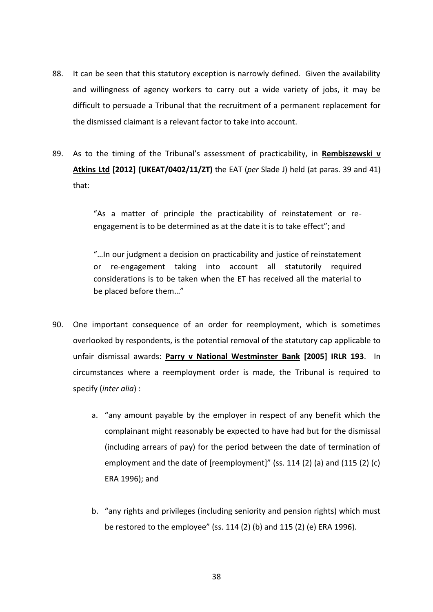- 88. It can be seen that this statutory exception is narrowly defined. Given the availability and willingness of agency workers to carry out a wide variety of jobs, it may be difficult to persuade a Tribunal that the recruitment of a permanent replacement for the dismissed claimant is a relevant factor to take into account.
- 89. As to the timing of the Tribunal's assessment of practicability, in **[Rembiszewski v](https://mlexch.matrixlaw.co.uk/owa/redir.aspx?C=34VccIpKPkK09x2sQ0I_Rn5Ga7RKfs9IpkNwU1tqVLFoBu_DwutCJ2HUSqB8G5-DWPIhHeLGk0w.&URL=http%3a%2f%2fwww.bailii.org%2fuk%2fcases%2fUKEAT%2f2012%2f0402_11_1010.html)  [Atkins Ltd](https://mlexch.matrixlaw.co.uk/owa/redir.aspx?C=34VccIpKPkK09x2sQ0I_Rn5Ga7RKfs9IpkNwU1tqVLFoBu_DwutCJ2HUSqB8G5-DWPIhHeLGk0w.&URL=http%3a%2f%2fwww.bailii.org%2fuk%2fcases%2fUKEAT%2f2012%2f0402_11_1010.html) [2012] (UKEAT/0402/11/ZT)** the EAT (*per* Slade J) held (at paras. 39 and 41) that:

"As a matter of principle the practicability of reinstatement or reengagement is to be determined as at the date it is to take effect"; and

"…In our judgment a decision on practicability and justice of reinstatement or re-engagement taking into account all statutorily required considerations is to be taken when the ET has received all the material to be placed before them…"

- 90. One important consequence of an order for reemployment, which is sometimes overlooked by respondents, is the potential removal of the statutory cap applicable to unfair dismissal awards: **Parry v National Westminster Bank [2005] IRLR 193**. In circumstances where a reemployment order is made, the Tribunal is required to specify (*inter alia*) :
	- a. "any amount payable by the employer in respect of any benefit which the complainant might reasonably be expected to have had but for the dismissal (including arrears of pay) for the period between the date of termination of employment and the date of [reemployment]" (ss. 114 (2) (a) and (115 (2) (c) ERA 1996); and
	- b. "any rights and privileges (including seniority and pension rights) which must be restored to the employee" (ss. 114 (2) (b) and 115 (2) (e) ERA 1996).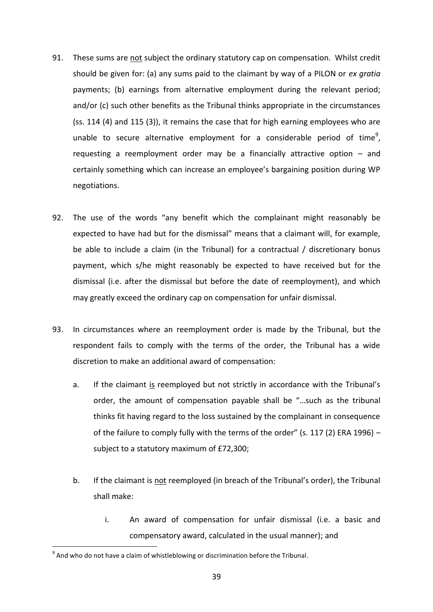- 91. These sums are not subject the ordinary statutory cap on compensation. Whilst credit should be given for: (a) any sums paid to the claimant by way of a PILON or *ex gratia*  payments; (b) earnings from alternative employment during the relevant period; and/or (c) such other benefits as the Tribunal thinks appropriate in the circumstances (ss. 114 (4) and 115 (3)), it remains the case that for high earning employees who are unable to secure alternative employment for a considerable period of time<sup>9</sup>, requesting a reemployment order may be a financially attractive option – and certainly something which can increase an employee's bargaining position during WP negotiations.
- 92. The use of the words "any benefit which the complainant might reasonably be expected to have had but for the dismissal" means that a claimant will, for example, be able to include a claim (in the Tribunal) for a contractual / discretionary bonus payment, which s/he might reasonably be expected to have received but for the dismissal (i.e. after the dismissal but before the date of reemployment), and which may greatly exceed the ordinary cap on compensation for unfair dismissal.
- 93. In circumstances where an reemployment order is made by the Tribunal, but the respondent fails to comply with the terms of the order, the Tribunal has a wide discretion to make an additional award of compensation:
	- a. If the claimant is reemployed but not strictly in accordance with the Tribunal's order, the amount of compensation payable shall be "…such as the tribunal thinks fit having regard to the loss sustained by the complainant in consequence of the failure to comply fully with the terms of the order" (s. 117 (2) ERA 1996) – subject to a statutory maximum of £72,300;
	- b. If the claimant is not reemployed (in breach of the Tribunal's order), the Tribunal shall make:
		- i. An award of compensation for unfair dismissal (i.e. a basic and compensatory award, calculated in the usual manner); and

1

 $^9$  And who do not have a claim of whistleblowing or discrimination before the Tribunal.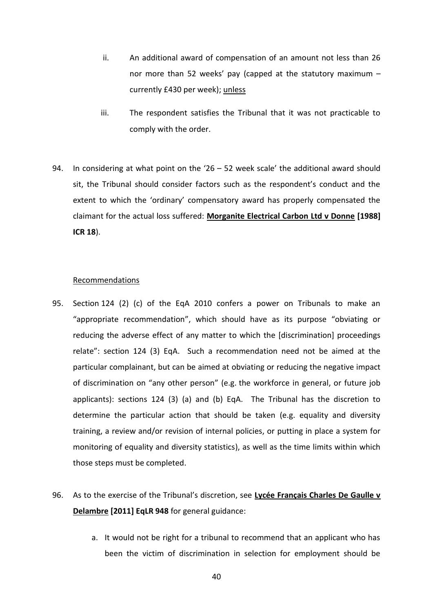- ii. An additional award of compensation of an amount not less than 26 nor more than 52 weeks' pay (capped at the statutory maximum – currently £430 per week); unless
- iii. The respondent satisfies the Tribunal that it was not practicable to comply with the order.
- 94. In considering at what point on the '26 52 week scale' the additional award should sit, the Tribunal should consider factors such as the respondent's conduct and the extent to which the 'ordinary' compensatory award has properly compensated the claimant for the actual loss suffered: **Morganite Electrical Carbon Ltd v Donne [1988] ICR 18**).

#### Recommendations

- 95. Section 124 (2) (c) of the EqA 2010 confers a power on Tribunals to make an "appropriate recommendation", which should have as its purpose "obviating or reducing the adverse effect of any matter to which the [discrimination] proceedings relate": section 124 (3) EqA. Such a recommendation need not be aimed at the particular complainant, but can be aimed at obviating or reducing the negative impact of discrimination on "any other person" (e.g. the workforce in general, or future job applicants): sections 124 (3) (a) and (b) EqA. The Tribunal has the discretion to determine the particular action that should be taken (e.g. equality and diversity training, a review and/or revision of internal policies, or putting in place a system for monitoring of equality and diversity statistics), as well as the time limits within which those steps must be completed.
- 96. As to the exercise of the Tribunal's discretion, see **Lycée Français Charles De Gaulle v Delambre [2011] EqLR 948** for general guidance:
	- a. It would not be right for a tribunal to recommend that an applicant who has been the victim of discrimination in selection for employment should be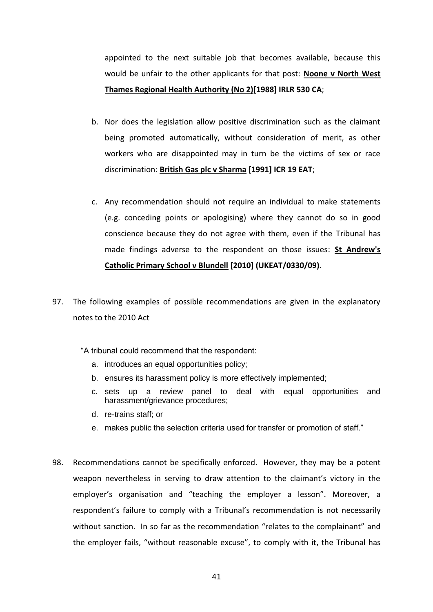appointed to the next suitable job that becomes available, because this would be unfair to the other applicants for that post: **Noone v North West Thames Regional Health Authority (No 2[\)\[1988\] IRLR 530](https://www.lexisnexis.com/uk/legal/search/enhRunRemoteLink.do?ersKey=23_T15763616322&langcountry=GB&backKey=20_T15763616364&linkInfo=F%23GB%23IRLR%23year%251988%25page%25530%25sel1%251988%25&service=citation&A=0.9398400171208997) CA**;

- b. Nor does the legislation allow positive discrimination such as the claimant being promoted automatically, without consideration of merit, as other workers who are disappointed may in turn be the victims of sex or race discrimination: **British Gas plc v Sharma [1991] ICR 19 EAT**;
- c. Any recommendation should not require an individual to make statements (e.g. conceding points or apologising) where they cannot do so in good conscience because they do not agree with them, even if the Tribunal has made findings adverse to the respondent on those issues: **St Andrew's Catholic Primary School v Blundell [2010] [\(UKEAT/0330/09\)](https://www.lexisnexis.com/uk/legal/search/enhRunRemoteLink.do?ersKey=23_T15763616322&langcountry=GB&backKey=20_T15763616364&linkInfo=F%23GB%23UKEAT%23year%2509%25page%250330%25sel1%2509%25&service=citation&A=0.5286409817522475)**.
- 97. The following examples of possible recommendations are given in the explanatory notes to the 2010 Act

"A tribunal could recommend that the respondent:

- a. introduces an equal opportunities policy;
- b. ensures its harassment policy is more effectively implemented;
- c. sets up a review panel to deal with equal opportunities and harassment/grievance procedures;
- d. re-trains staff; or
- e. makes public the selection criteria used for transfer or promotion of staff."
- 98. Recommendations cannot be specifically enforced. However, they may be a potent weapon nevertheless in serving to draw attention to the claimant's victory in the employer's organisation and "teaching the employer a lesson". Moreover, a respondent's failure to comply with a Tribunal's recommendation is not necessarily without sanction. In so far as the recommendation "relates to the complainant" and the employer fails, "without reasonable excuse", to comply with it, the Tribunal has